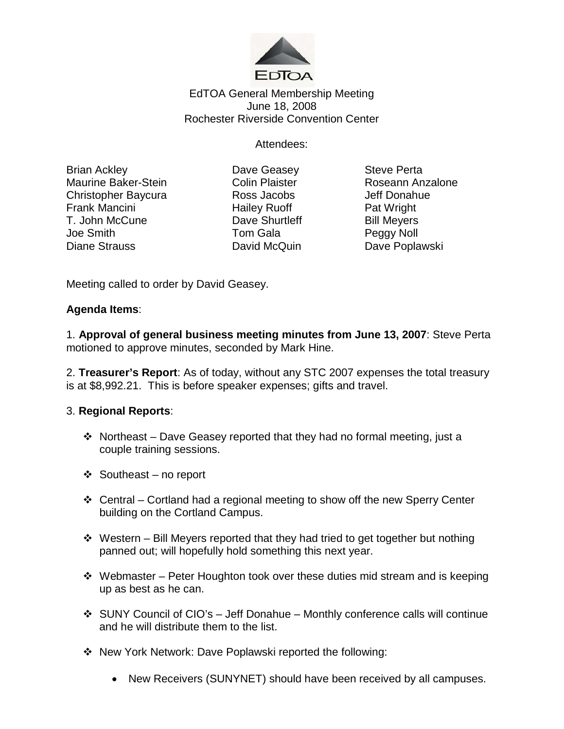

## EdTOA General Membership Meeting June 18, 2008 Rochester Riverside Convention Center

Attendees:

Brian Ackley **Casey** Dave Geasey **Steve Perta** Maurine Baker-Stein Colin Plaister Roseann Anzalone Christopher Baycura **Ross Jacobs** Jeff Donahue<br>
Frank Mancini **Grand Halley Ruoff** Pat Wright T. John McCune **Dave Shurtleff** Bill Meyers Joe Smith Tom Gala Peggy Noll Diane Strauss **David McQuin** Dave Poplawski

Hailey Ruoff Pat Wright

Meeting called to order by David Geasey.

## **Agenda Items**:

1. **Approval of general business meeting minutes from June 13, 2007**: Steve Perta motioned to approve minutes, seconded by Mark Hine.

2. **Treasurer's Report**: As of today, without any STC 2007 expenses the total treasury is at \$8,992.21. This is before speaker expenses; gifts and travel.

## 3. **Regional Reports**:

- $\div$  Northeast Dave Geasey reported that they had no formal meeting, just a couple training sessions.
- Southeast no report
- Central Cortland had a regional meeting to show off the new Sperry Center building on the Cortland Campus.
- $\div$  Western Bill Meyers reported that they had tried to get together but nothing panned out; will hopefully hold something this next year.
- $\cdot$  Webmaster Peter Houghton took over these duties mid stream and is keeping up as best as he can.
- SUNY Council of CIO's Jeff Donahue Monthly conference calls will continue and he will distribute them to the list.
- New York Network: Dave Poplawski reported the following:
	- New Receivers (SUNYNET) should have been received by all campuses.